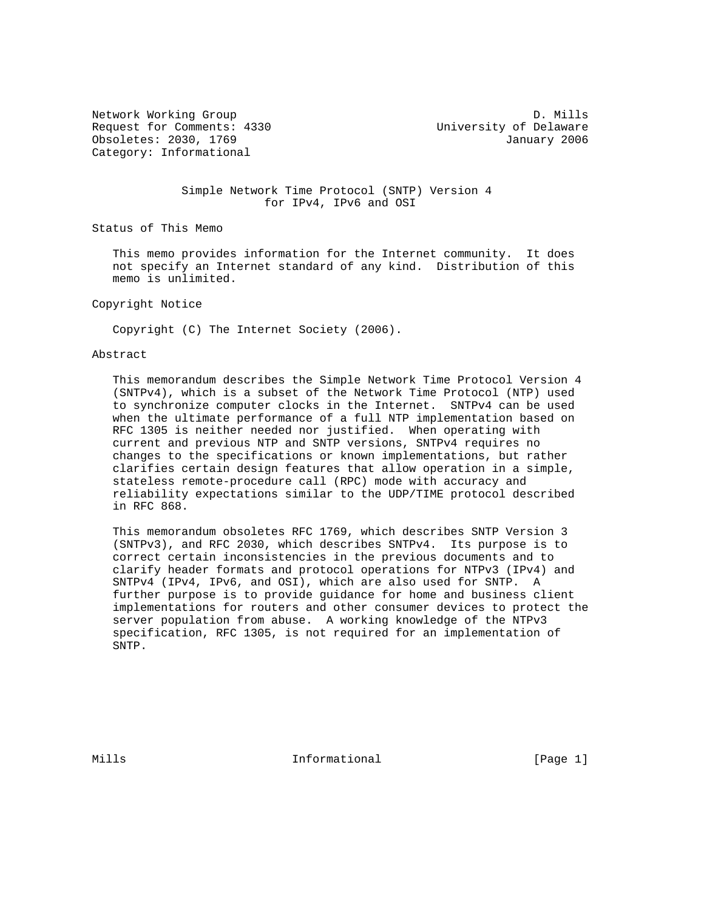Request for Comments: 4330 University of Delaware Obsoletes: 2030, 1769 January 2006 Category: Informational

Network Working Group D. Mills

#### Simple Network Time Protocol (SNTP) Version 4 for IPv4, IPv6 and OSI

Status of This Memo

 This memo provides information for the Internet community. It does not specify an Internet standard of any kind. Distribution of this memo is unlimited.

Copyright Notice

Copyright (C) The Internet Society (2006).

#### Abstract

 This memorandum describes the Simple Network Time Protocol Version 4 (SNTPv4), which is a subset of the Network Time Protocol (NTP) used to synchronize computer clocks in the Internet. SNTPv4 can be used when the ultimate performance of a full NTP implementation based on RFC 1305 is neither needed nor justified. When operating with current and previous NTP and SNTP versions, SNTPv4 requires no changes to the specifications or known implementations, but rather clarifies certain design features that allow operation in a simple, stateless remote-procedure call (RPC) mode with accuracy and reliability expectations similar to the UDP/TIME protocol described in RFC 868.

 This memorandum obsoletes RFC 1769, which describes SNTP Version 3 (SNTPv3), and RFC 2030, which describes SNTPv4. Its purpose is to correct certain inconsistencies in the previous documents and to clarify header formats and protocol operations for NTPv3 (IPv4) and SNTPv4 (IPv4, IPv6, and OSI), which are also used for SNTP. A further purpose is to provide guidance for home and business client implementations for routers and other consumer devices to protect the server population from abuse. A working knowledge of the NTPv3 specification, RFC 1305, is not required for an implementation of SNTP.

Mills **Informational Informational** [Page 1]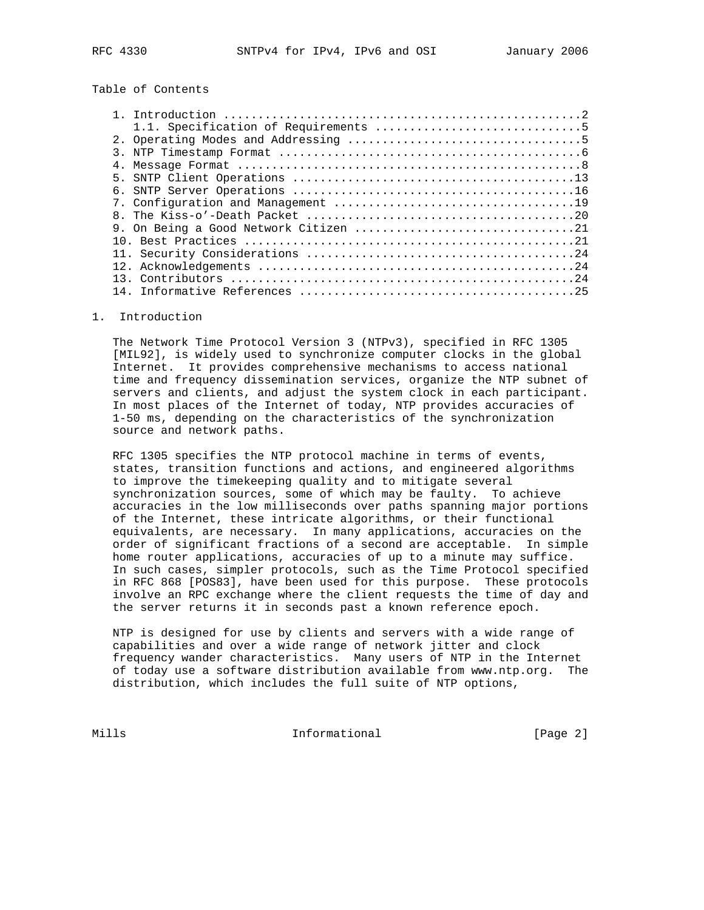# Table of Contents

### 1. Introduction

 The Network Time Protocol Version 3 (NTPv3), specified in RFC 1305 [MIL92], is widely used to synchronize computer clocks in the global Internet. It provides comprehensive mechanisms to access national time and frequency dissemination services, organize the NTP subnet of servers and clients, and adjust the system clock in each participant. In most places of the Internet of today, NTP provides accuracies of 1-50 ms, depending on the characteristics of the synchronization source and network paths.

 RFC 1305 specifies the NTP protocol machine in terms of events, states, transition functions and actions, and engineered algorithms to improve the timekeeping quality and to mitigate several synchronization sources, some of which may be faulty. To achieve accuracies in the low milliseconds over paths spanning major portions of the Internet, these intricate algorithms, or their functional equivalents, are necessary. In many applications, accuracies on the order of significant fractions of a second are acceptable. In simple home router applications, accuracies of up to a minute may suffice. In such cases, simpler protocols, such as the Time Protocol specified in RFC 868 [POS83], have been used for this purpose. These protocols involve an RPC exchange where the client requests the time of day and the server returns it in seconds past a known reference epoch.

 NTP is designed for use by clients and servers with a wide range of capabilities and over a wide range of network jitter and clock frequency wander characteristics. Many users of NTP in the Internet of today use a software distribution available from www.ntp.org. The distribution, which includes the full suite of NTP options,

Mills **Informational Informational** [Page 2]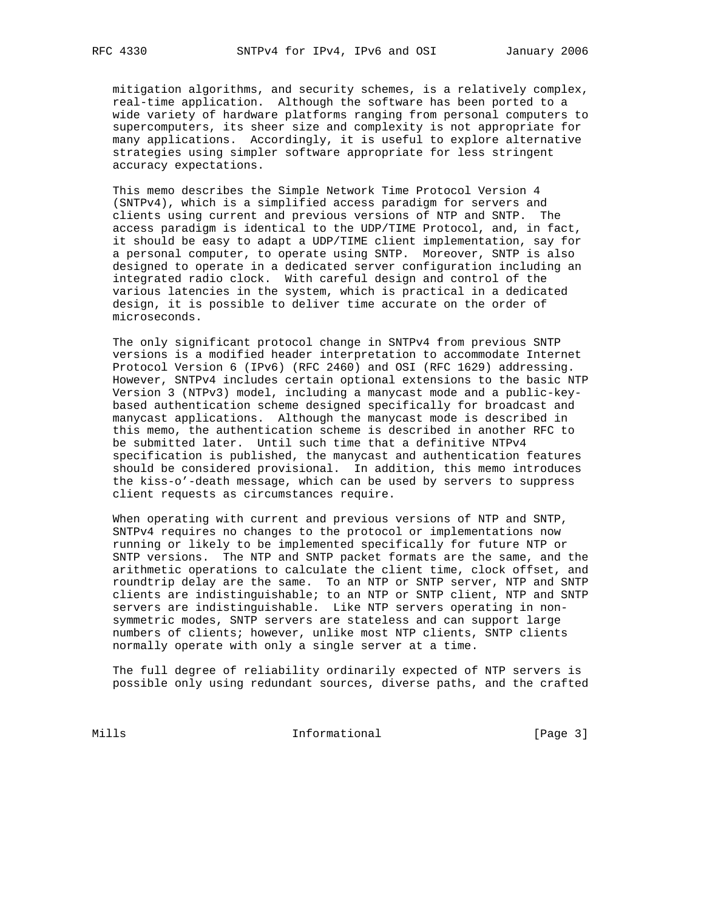mitigation algorithms, and security schemes, is a relatively complex, real-time application. Although the software has been ported to a wide variety of hardware platforms ranging from personal computers to supercomputers, its sheer size and complexity is not appropriate for many applications. Accordingly, it is useful to explore alternative strategies using simpler software appropriate for less stringent accuracy expectations.

 This memo describes the Simple Network Time Protocol Version 4 (SNTPv4), which is a simplified access paradigm for servers and clients using current and previous versions of NTP and SNTP. The access paradigm is identical to the UDP/TIME Protocol, and, in fact, it should be easy to adapt a UDP/TIME client implementation, say for a personal computer, to operate using SNTP. Moreover, SNTP is also designed to operate in a dedicated server configuration including an integrated radio clock. With careful design and control of the various latencies in the system, which is practical in a dedicated design, it is possible to deliver time accurate on the order of microseconds.

 The only significant protocol change in SNTPv4 from previous SNTP versions is a modified header interpretation to accommodate Internet Protocol Version 6 (IPv6) (RFC 2460) and OSI (RFC 1629) addressing. However, SNTPv4 includes certain optional extensions to the basic NTP Version 3 (NTPv3) model, including a manycast mode and a public-key based authentication scheme designed specifically for broadcast and manycast applications. Although the manycast mode is described in this memo, the authentication scheme is described in another RFC to be submitted later. Until such time that a definitive NTPv4 specification is published, the manycast and authentication features should be considered provisional. In addition, this memo introduces the kiss-o'-death message, which can be used by servers to suppress client requests as circumstances require.

 When operating with current and previous versions of NTP and SNTP, SNTPv4 requires no changes to the protocol or implementations now running or likely to be implemented specifically for future NTP or SNTP versions. The NTP and SNTP packet formats are the same, and the arithmetic operations to calculate the client time, clock offset, and roundtrip delay are the same. To an NTP or SNTP server, NTP and SNTP clients are indistinguishable; to an NTP or SNTP client, NTP and SNTP servers are indistinguishable. Like NTP servers operating in non symmetric modes, SNTP servers are stateless and can support large numbers of clients; however, unlike most NTP clients, SNTP clients normally operate with only a single server at a time.

 The full degree of reliability ordinarily expected of NTP servers is possible only using redundant sources, diverse paths, and the crafted

Mills 1nformational [Page 3]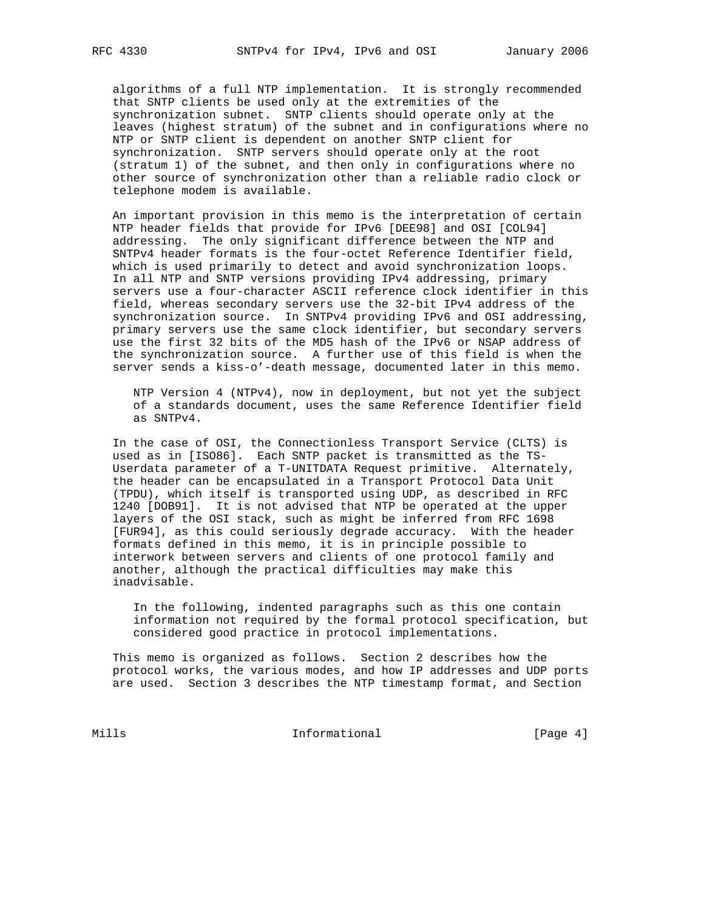algorithms of a full NTP implementation. It is strongly recommended that SNTP clients be used only at the extremities of the synchronization subnet. SNTP clients should operate only at the leaves (highest stratum) of the subnet and in configurations where no NTP or SNTP client is dependent on another SNTP client for synchronization. SNTP servers should operate only at the root (stratum 1) of the subnet, and then only in configurations where no other source of synchronization other than a reliable radio clock or telephone modem is available.

 An important provision in this memo is the interpretation of certain NTP header fields that provide for IPv6 [DEE98] and OSI [COL94] addressing. The only significant difference between the NTP and SNTPv4 header formats is the four-octet Reference Identifier field, which is used primarily to detect and avoid synchronization loops. In all NTP and SNTP versions providing IPv4 addressing, primary servers use a four-character ASCII reference clock identifier in this field, whereas secondary servers use the 32-bit IPv4 address of the synchronization source. In SNTPv4 providing IPv6 and OSI addressing, primary servers use the same clock identifier, but secondary servers use the first 32 bits of the MD5 hash of the IPv6 or NSAP address of the synchronization source. A further use of this field is when the server sends a kiss-o'-death message, documented later in this memo.

 NTP Version 4 (NTPv4), now in deployment, but not yet the subject of a standards document, uses the same Reference Identifier field as SNTPv4.

 In the case of OSI, the Connectionless Transport Service (CLTS) is used as in [ISO86]. Each SNTP packet is transmitted as the TS- Userdata parameter of a T-UNITDATA Request primitive. Alternately, the header can be encapsulated in a Transport Protocol Data Unit (TPDU), which itself is transported using UDP, as described in RFC 1240 [DOB91]. It is not advised that NTP be operated at the upper layers of the OSI stack, such as might be inferred from RFC 1698 [FUR94], as this could seriously degrade accuracy. With the header formats defined in this memo, it is in principle possible to interwork between servers and clients of one protocol family and another, although the practical difficulties may make this inadvisable.

 In the following, indented paragraphs such as this one contain information not required by the formal protocol specification, but considered good practice in protocol implementations.

 This memo is organized as follows. Section 2 describes how the protocol works, the various modes, and how IP addresses and UDP ports are used. Section 3 describes the NTP timestamp format, and Section

Mills 1nformational [Page 4]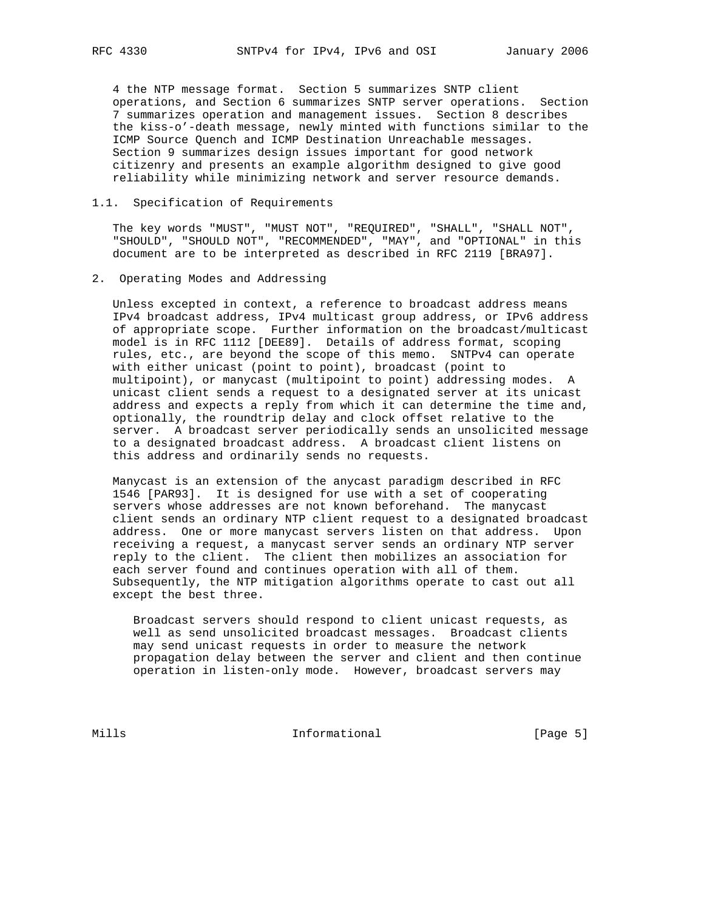4 the NTP message format. Section 5 summarizes SNTP client operations, and Section 6 summarizes SNTP server operations. Section 7 summarizes operation and management issues. Section 8 describes the kiss-o'-death message, newly minted with functions similar to the ICMP Source Quench and ICMP Destination Unreachable messages. Section 9 summarizes design issues important for good network citizenry and presents an example algorithm designed to give good reliability while minimizing network and server resource demands.

## 1.1. Specification of Requirements

 The key words "MUST", "MUST NOT", "REQUIRED", "SHALL", "SHALL NOT", "SHOULD", "SHOULD NOT", "RECOMMENDED", "MAY", and "OPTIONAL" in this document are to be interpreted as described in RFC 2119 [BRA97].

## 2. Operating Modes and Addressing

 Unless excepted in context, a reference to broadcast address means IPv4 broadcast address, IPv4 multicast group address, or IPv6 address of appropriate scope. Further information on the broadcast/multicast model is in RFC 1112 [DEE89]. Details of address format, scoping rules, etc., are beyond the scope of this memo. SNTPv4 can operate with either unicast (point to point), broadcast (point to multipoint), or manycast (multipoint to point) addressing modes. A unicast client sends a request to a designated server at its unicast address and expects a reply from which it can determine the time and, optionally, the roundtrip delay and clock offset relative to the server. A broadcast server periodically sends an unsolicited message to a designated broadcast address. A broadcast client listens on this address and ordinarily sends no requests.

 Manycast is an extension of the anycast paradigm described in RFC 1546 [PAR93]. It is designed for use with a set of cooperating servers whose addresses are not known beforehand. The manycast client sends an ordinary NTP client request to a designated broadcast address. One or more manycast servers listen on that address. Upon receiving a request, a manycast server sends an ordinary NTP server reply to the client. The client then mobilizes an association for each server found and continues operation with all of them. Subsequently, the NTP mitigation algorithms operate to cast out all except the best three.

 Broadcast servers should respond to client unicast requests, as well as send unsolicited broadcast messages. Broadcast clients may send unicast requests in order to measure the network propagation delay between the server and client and then continue operation in listen-only mode. However, broadcast servers may

Mills 1nformational [Page 5]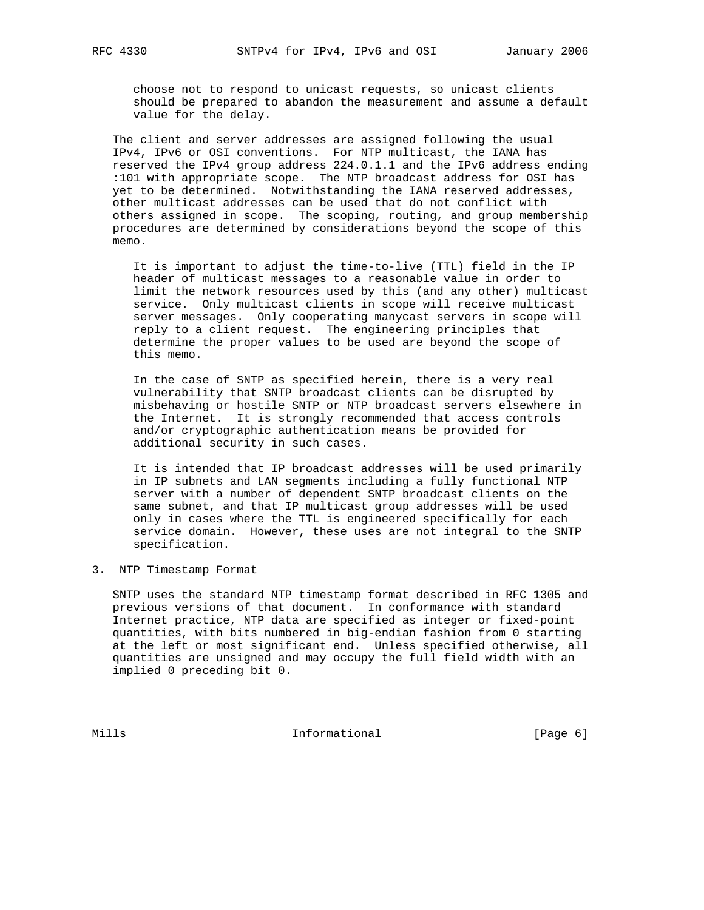choose not to respond to unicast requests, so unicast clients should be prepared to abandon the measurement and assume a default value for the delay.

 The client and server addresses are assigned following the usual IPv4, IPv6 or OSI conventions. For NTP multicast, the IANA has reserved the IPv4 group address 224.0.1.1 and the IPv6 address ending :101 with appropriate scope. The NTP broadcast address for OSI has yet to be determined. Notwithstanding the IANA reserved addresses, other multicast addresses can be used that do not conflict with others assigned in scope. The scoping, routing, and group membership procedures are determined by considerations beyond the scope of this memo.

 It is important to adjust the time-to-live (TTL) field in the IP header of multicast messages to a reasonable value in order to limit the network resources used by this (and any other) multicast service. Only multicast clients in scope will receive multicast server messages. Only cooperating manycast servers in scope will reply to a client request. The engineering principles that determine the proper values to be used are beyond the scope of this memo.

 In the case of SNTP as specified herein, there is a very real vulnerability that SNTP broadcast clients can be disrupted by misbehaving or hostile SNTP or NTP broadcast servers elsewhere in the Internet. It is strongly recommended that access controls and/or cryptographic authentication means be provided for additional security in such cases.

 It is intended that IP broadcast addresses will be used primarily in IP subnets and LAN segments including a fully functional NTP server with a number of dependent SNTP broadcast clients on the same subnet, and that IP multicast group addresses will be used only in cases where the TTL is engineered specifically for each service domain. However, these uses are not integral to the SNTP specification.

3. NTP Timestamp Format

 SNTP uses the standard NTP timestamp format described in RFC 1305 and previous versions of that document. In conformance with standard Internet practice, NTP data are specified as integer or fixed-point quantities, with bits numbered in big-endian fashion from 0 starting at the left or most significant end. Unless specified otherwise, all quantities are unsigned and may occupy the full field width with an implied 0 preceding bit 0.

Mills 1nformational 1999 [Page 6]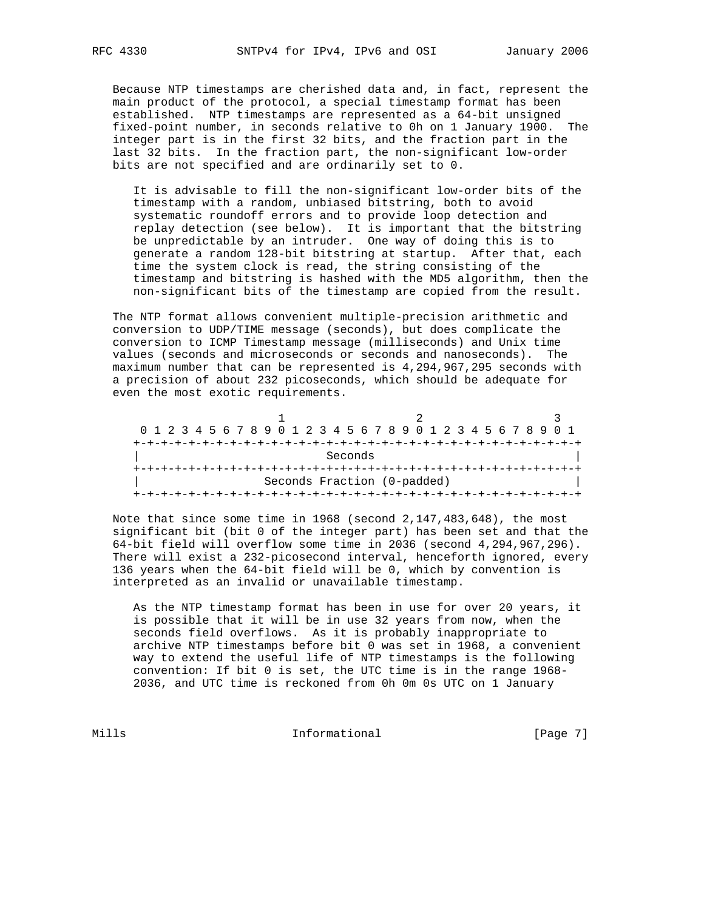Because NTP timestamps are cherished data and, in fact, represent the main product of the protocol, a special timestamp format has been established. NTP timestamps are represented as a 64-bit unsigned fixed-point number, in seconds relative to 0h on 1 January 1900. The integer part is in the first 32 bits, and the fraction part in the last 32 bits. In the fraction part, the non-significant low-order bits are not specified and are ordinarily set to 0.

 It is advisable to fill the non-significant low-order bits of the timestamp with a random, unbiased bitstring, both to avoid systematic roundoff errors and to provide loop detection and replay detection (see below). It is important that the bitstring be unpredictable by an intruder. One way of doing this is to generate a random 128-bit bitstring at startup. After that, each time the system clock is read, the string consisting of the timestamp and bitstring is hashed with the MD5 algorithm, then the non-significant bits of the timestamp are copied from the result.

 The NTP format allows convenient multiple-precision arithmetic and conversion to UDP/TIME message (seconds), but does complicate the conversion to ICMP Timestamp message (milliseconds) and Unix time values (seconds and microseconds or seconds and nanoseconds). The maximum number that can be represented is 4,294,967,295 seconds with a precision of about 232 picoseconds, which should be adequate for even the most exotic requirements.

|  |  |  |  |  |  |  |         |  |  | 0 1 2 3 4 5 6 7 8 9 0 1 2 3 4 5 6 7 8 9 0 1 2 3 4 5 6 7 8 9 0 1 |  |  |  |  |  |  |
|--|--|--|--|--|--|--|---------|--|--|-----------------------------------------------------------------|--|--|--|--|--|--|
|  |  |  |  |  |  |  |         |  |  |                                                                 |  |  |  |  |  |  |
|  |  |  |  |  |  |  | Seconds |  |  |                                                                 |  |  |  |  |  |  |
|  |  |  |  |  |  |  |         |  |  | +-+-+-+-+-+-+-+-+-+-+-+-+-+-+-+-+                               |  |  |  |  |  |  |
|  |  |  |  |  |  |  |         |  |  | Seconds Fraction (0-padded)                                     |  |  |  |  |  |  |
|  |  |  |  |  |  |  |         |  |  |                                                                 |  |  |  |  |  |  |

 Note that since some time in 1968 (second 2,147,483,648), the most significant bit (bit 0 of the integer part) has been set and that the 64-bit field will overflow some time in 2036 (second 4,294,967,296). There will exist a 232-picosecond interval, henceforth ignored, every 136 years when the 64-bit field will be 0, which by convention is interpreted as an invalid or unavailable timestamp.

 As the NTP timestamp format has been in use for over 20 years, it is possible that it will be in use 32 years from now, when the seconds field overflows. As it is probably inappropriate to archive NTP timestamps before bit 0 was set in 1968, a convenient way to extend the useful life of NTP timestamps is the following convention: If bit 0 is set, the UTC time is in the range 1968- 2036, and UTC time is reckoned from 0h 0m 0s UTC on 1 January

Mills **Informational Informational** [Page 7]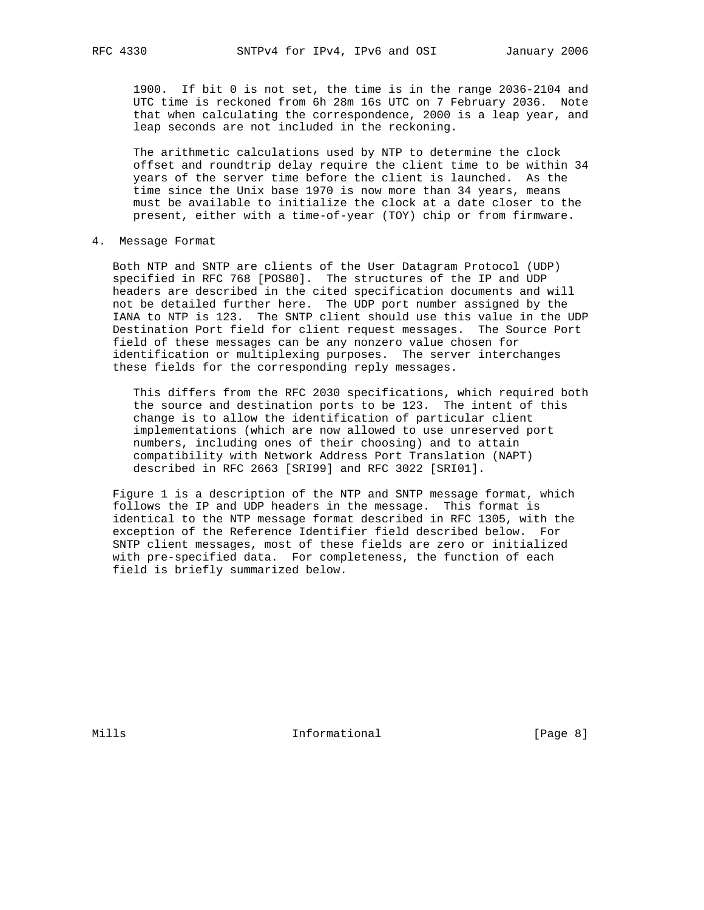1900. If bit 0 is not set, the time is in the range 2036-2104 and UTC time is reckoned from 6h 28m 16s UTC on 7 February 2036. Note that when calculating the correspondence, 2000 is a leap year, and leap seconds are not included in the reckoning.

 The arithmetic calculations used by NTP to determine the clock offset and roundtrip delay require the client time to be within 34 years of the server time before the client is launched. As the time since the Unix base 1970 is now more than 34 years, means must be available to initialize the clock at a date closer to the present, either with a time-of-year (TOY) chip or from firmware.

4. Message Format

 Both NTP and SNTP are clients of the User Datagram Protocol (UDP) specified in RFC 768 [POS80]. The structures of the IP and UDP headers are described in the cited specification documents and will not be detailed further here. The UDP port number assigned by the IANA to NTP is 123. The SNTP client should use this value in the UDP Destination Port field for client request messages. The Source Port field of these messages can be any nonzero value chosen for identification or multiplexing purposes. The server interchanges these fields for the corresponding reply messages.

 This differs from the RFC 2030 specifications, which required both the source and destination ports to be 123. The intent of this change is to allow the identification of particular client implementations (which are now allowed to use unreserved port numbers, including ones of their choosing) and to attain compatibility with Network Address Port Translation (NAPT) described in RFC 2663 [SRI99] and RFC 3022 [SRI01].

 Figure 1 is a description of the NTP and SNTP message format, which follows the IP and UDP headers in the message. This format is identical to the NTP message format described in RFC 1305, with the exception of the Reference Identifier field described below. For SNTP client messages, most of these fields are zero or initialized with pre-specified data. For completeness, the function of each field is briefly summarized below.

Mills **Informational Informational** [Page 8]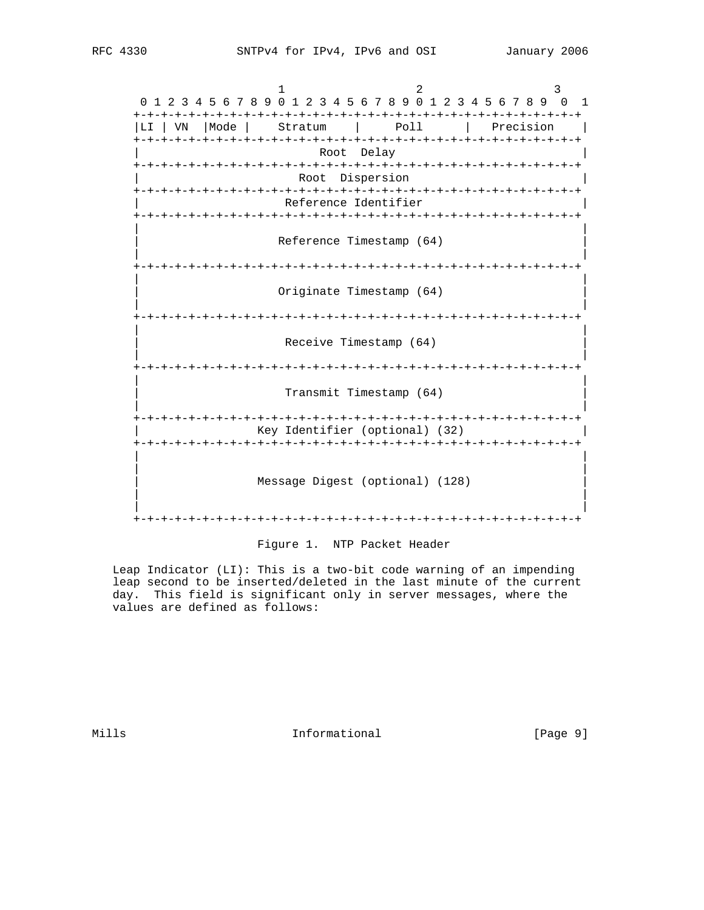1 2 3 0 1 2 3 4 5 6 7 8 9 0 1 2 3 4 5 6 7 8 9 0 1 2 3 4 5 6 7 8 9 0 1 +-+-+-+-+-+-+-+-+-+-+-+-+-+-+-+-+-+-+-+-+-+-+-+-+-+-+-+-+-+-+-+-+ |LI | VN | Mode | Stratum | Poll | Precision | +-+-+-+-+-+-+-+-+-+-+-+-+-+-+-+-+-+-+-+-+-+-+-+-+-+-+-+-+-+-+-+-+ Root Delay +-+-+-+-+-+-+-+-+-+-+-+-+-+-+-+-+-+-+-+-+-+-+-+-+-+-+-+-+-+-+-+-+ Root Dispersion +-+-+-+-+-+-+-+-+-+-+-+-+-+-+-+-+-+-+-+-+-+-+-+-+-+-+-+-+-+-+-+-+ Reference Identifier +-+-+-+-+-+-+-+-+-+-+-+-+-+-+-+-+-+-+-+-+-+-+-+-+-+-+-+-+-+-+-+-+ | | Reference Timestamp (64) | | +-+-+-+-+-+-+-+-+-+-+-+-+-+-+-+-+-+-+-+-+-+-+-+-+-+-+-+-+-+-+-+-+ | | Originate Timestamp (64) | | +-+-+-+-+-+-+-+-+-+-+-+-+-+-+-+-+-+-+-+-+-+-+-+-+-+-+-+-+-+-+-+-+ | | Receive Timestamp (64) | | +-+-+-+-+-+-+-+-+-+-+-+-+-+-+-+-+-+-+-+-+-+-+-+-+-+-+-+-+-+-+-+-+ | | Transmit Timestamp (64) | | +-+-+-+-+-+-+-+-+-+-+-+-+-+-+-+-+-+-+-+-+-+-+-+-+-+-+-+-+-+-+-+-+ | Key Identifier (optional) (32) | +-+-+-+-+-+-+-+-+-+-+-+-+-+-+-+-+-+-+-+-+-+-+-+-+-+-+-+-+-+-+-+-+ | | | | Message Digest (optional) (128) | | | | +-+-+-+-+-+-+-+-+-+-+-+-+-+-+-+-+-+-+-+-+-+-+-+-+-+-+-+-+-+-+-+-+

Figure 1. NTP Packet Header

 Leap Indicator (LI): This is a two-bit code warning of an impending leap second to be inserted/deleted in the last minute of the current day. This field is significant only in server messages, where the values are defined as follows:

Mills **Informational Informational** [Page 9]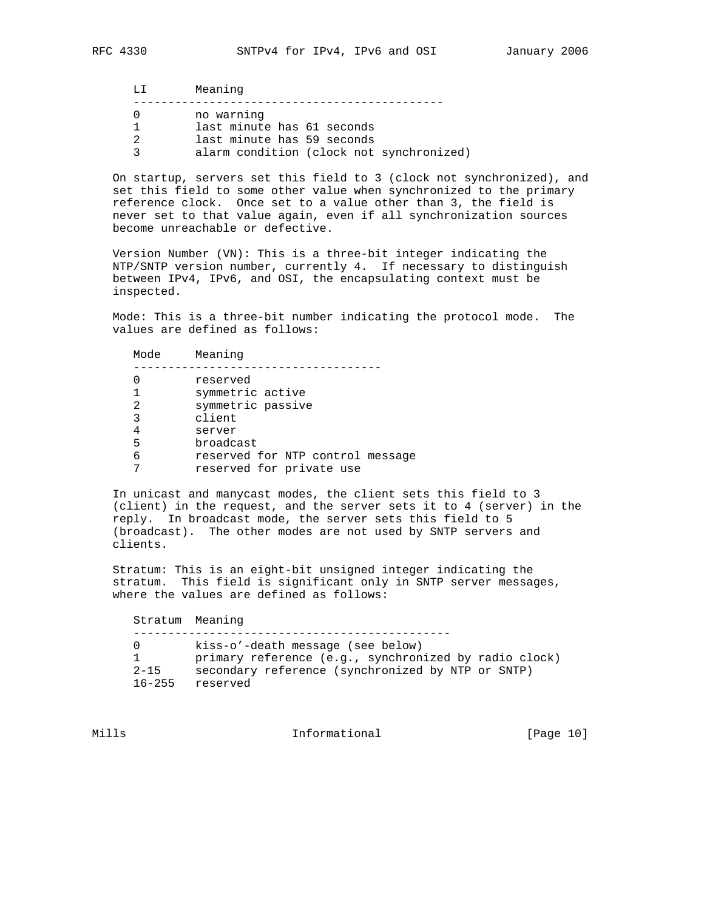| T.T. | Meaning                                  |
|------|------------------------------------------|
|      | no warning                               |
|      | last minute has 61 seconds               |
| 2    | last minute has 59 seconds               |
| 2    | alarm condition (clock not synchronized) |

 On startup, servers set this field to 3 (clock not synchronized), and set this field to some other value when synchronized to the primary reference clock. Once set to a value other than 3, the field is never set to that value again, even if all synchronization sources become unreachable or defective.

 Version Number (VN): This is a three-bit integer indicating the NTP/SNTP version number, currently 4. If necessary to distinguish between IPv4, IPv6, and OSI, the encapsulating context must be inspected.

 Mode: This is a three-bit number indicating the protocol mode. The values are defined as follows:

 Mode Meaning ------------------------------------ 0 reserved 1 symmetric active 2 symmetric passive 3 client 4 server 5 broadcast 6 reserved for NTP control message 7 reserved for private use

 In unicast and manycast modes, the client sets this field to 3 (client) in the request, and the server sets it to 4 (server) in the reply. In broadcast mode, the server sets this field to 5 (broadcast). The other modes are not used by SNTP servers and clients.

 Stratum: This is an eight-bit unsigned integer indicating the stratum. This field is significant only in SNTP server messages, where the values are defined as follows:

 Stratum Meaning ---------------------------------------------- 0 kiss-o'-death message (see below) 1 primary reference (e.g., synchronized by radio clock) 2-15 secondary reference (synchronized by NTP or SNTP) 16-255 reserved

Mills **Informational Informational** [Page 10]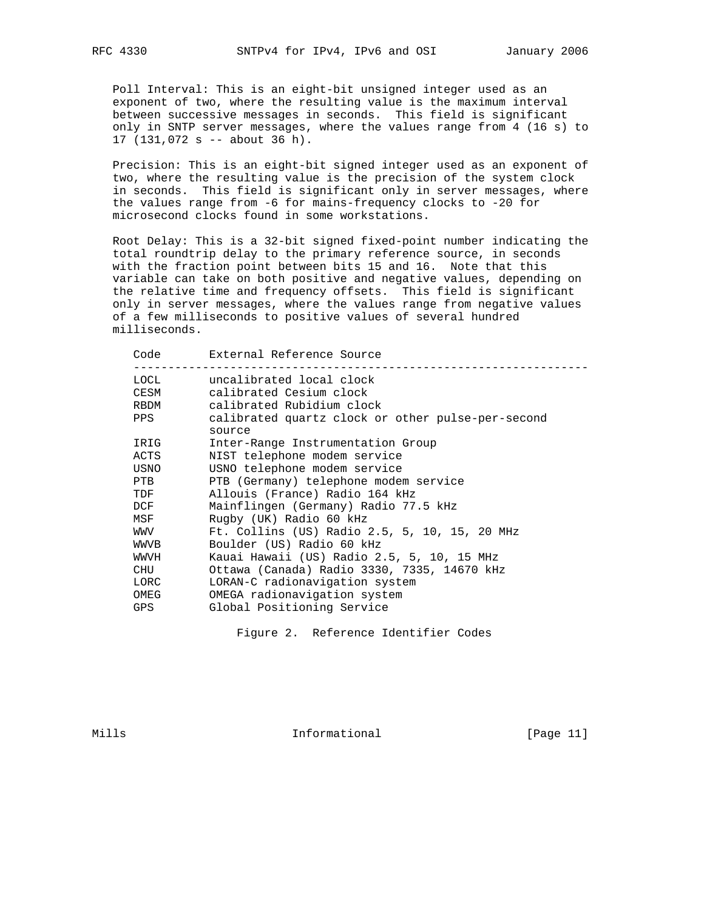Poll Interval: This is an eight-bit unsigned integer used as an exponent of two, where the resulting value is the maximum interval between successive messages in seconds. This field is significant only in SNTP server messages, where the values range from 4 (16 s) to 17 (131,072 s -- about 36 h).

 Precision: This is an eight-bit signed integer used as an exponent of two, where the resulting value is the precision of the system clock in seconds. This field is significant only in server messages, where the values range from -6 for mains-frequency clocks to -20 for microsecond clocks found in some workstations.

 Root Delay: This is a 32-bit signed fixed-point number indicating the total roundtrip delay to the primary reference source, in seconds with the fraction point between bits 15 and 16. Note that this variable can take on both positive and negative values, depending on the relative time and frequency offsets. This field is significant only in server messages, where the values range from negative values of a few milliseconds to positive values of several hundred milliseconds.

| Code | External Reference Source                                   |
|------|-------------------------------------------------------------|
| LOCL | uncalibrated local clock                                    |
| CESM | calibrated Cesium clock                                     |
| RBDM | calibrated Rubidium clock                                   |
| PPS  | calibrated quartz clock or other pulse-per-second<br>source |
| IRIG | Inter-Range Instrumentation Group                           |
| ACTS | NIST telephone modem service                                |
| USNO | USNO telephone modem service                                |
| PTB  | PTB (Germany) telephone modem service                       |
| TDF  | Allouis (France) Radio 164 kHz                              |
| DCF  | Mainflingen (Germany) Radio 77.5 kHz                        |
| MSF  | Rugby (UK) Radio 60 kHz                                     |
| WWV  | Ft. Collins (US) Radio 2.5, 5, 10, 15, 20 MHz               |
| WWVB | Boulder (US) Radio 60 kHz                                   |
| WWVH | Kauai Hawaii (US) Radio 2.5, 5, 10, 15 MHz                  |
| CHU  | Ottawa (Canada) Radio 3330, 7335, 14670 kHz                 |
| LORC | LORAN-C radionavigation system                              |
| OMEG | OMEGA radionavigation system                                |
| GPS. | Global Positioning Service                                  |
|      |                                                             |

Figure 2. Reference Identifier Codes

Mills **Informational Informational** [Page 11]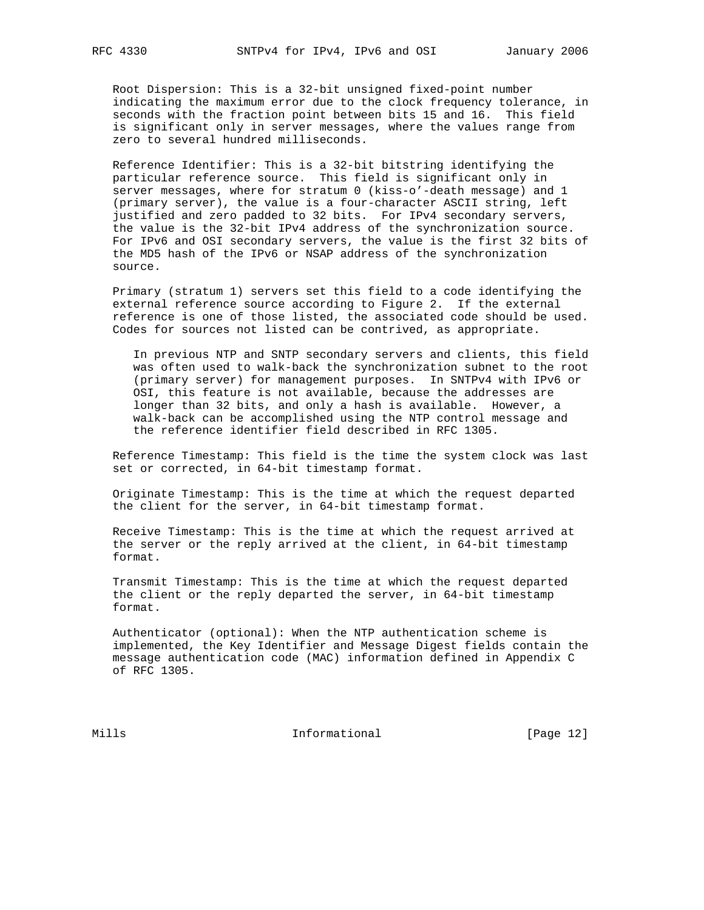Root Dispersion: This is a 32-bit unsigned fixed-point number indicating the maximum error due to the clock frequency tolerance, in seconds with the fraction point between bits 15 and 16. This field is significant only in server messages, where the values range from zero to several hundred milliseconds.

 Reference Identifier: This is a 32-bit bitstring identifying the particular reference source. This field is significant only in server messages, where for stratum 0 (kiss-o'-death message) and 1 (primary server), the value is a four-character ASCII string, left justified and zero padded to 32 bits. For IPv4 secondary servers, the value is the 32-bit IPv4 address of the synchronization source. For IPv6 and OSI secondary servers, the value is the first 32 bits of the MD5 hash of the IPv6 or NSAP address of the synchronization source.

 Primary (stratum 1) servers set this field to a code identifying the external reference source according to Figure 2. If the external reference is one of those listed, the associated code should be used. Codes for sources not listed can be contrived, as appropriate.

 In previous NTP and SNTP secondary servers and clients, this field was often used to walk-back the synchronization subnet to the root (primary server) for management purposes. In SNTPv4 with IPv6 or OSI, this feature is not available, because the addresses are longer than 32 bits, and only a hash is available. However, a walk-back can be accomplished using the NTP control message and the reference identifier field described in RFC 1305.

 Reference Timestamp: This field is the time the system clock was last set or corrected, in 64-bit timestamp format.

 Originate Timestamp: This is the time at which the request departed the client for the server, in 64-bit timestamp format.

 Receive Timestamp: This is the time at which the request arrived at the server or the reply arrived at the client, in 64-bit timestamp format.

 Transmit Timestamp: This is the time at which the request departed the client or the reply departed the server, in 64-bit timestamp format.

 Authenticator (optional): When the NTP authentication scheme is implemented, the Key Identifier and Message Digest fields contain the message authentication code (MAC) information defined in Appendix C of RFC 1305.

Mills 1nformational [Page 12]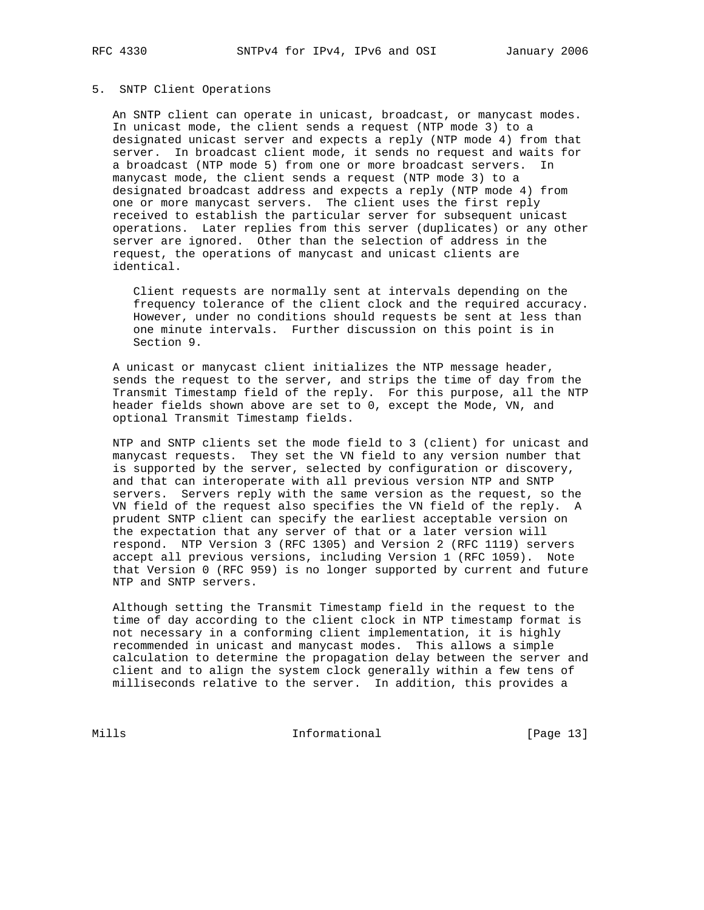## 5. SNTP Client Operations

 An SNTP client can operate in unicast, broadcast, or manycast modes. In unicast mode, the client sends a request (NTP mode 3) to a designated unicast server and expects a reply (NTP mode 4) from that server. In broadcast client mode, it sends no request and waits for a broadcast (NTP mode 5) from one or more broadcast servers. In manycast mode, the client sends a request (NTP mode 3) to a designated broadcast address and expects a reply (NTP mode 4) from one or more manycast servers. The client uses the first reply received to establish the particular server for subsequent unicast operations. Later replies from this server (duplicates) or any other server are ignored. Other than the selection of address in the request, the operations of manycast and unicast clients are identical.

 Client requests are normally sent at intervals depending on the frequency tolerance of the client clock and the required accuracy. However, under no conditions should requests be sent at less than one minute intervals. Further discussion on this point is in Section 9.

 A unicast or manycast client initializes the NTP message header, sends the request to the server, and strips the time of day from the Transmit Timestamp field of the reply. For this purpose, all the NTP header fields shown above are set to 0, except the Mode, VN, and optional Transmit Timestamp fields.

 NTP and SNTP clients set the mode field to 3 (client) for unicast and manycast requests. They set the VN field to any version number that is supported by the server, selected by configuration or discovery, and that can interoperate with all previous version NTP and SNTP servers. Servers reply with the same version as the request, so the VN field of the request also specifies the VN field of the reply. A prudent SNTP client can specify the earliest acceptable version on the expectation that any server of that or a later version will respond. NTP Version 3 (RFC 1305) and Version 2 (RFC 1119) servers accept all previous versions, including Version 1 (RFC 1059). Note that Version 0 (RFC 959) is no longer supported by current and future NTP and SNTP servers.

 Although setting the Transmit Timestamp field in the request to the time of day according to the client clock in NTP timestamp format is not necessary in a conforming client implementation, it is highly recommended in unicast and manycast modes. This allows a simple calculation to determine the propagation delay between the server and client and to align the system clock generally within a few tens of milliseconds relative to the server. In addition, this provides a

Mills 1nformational [Page 13]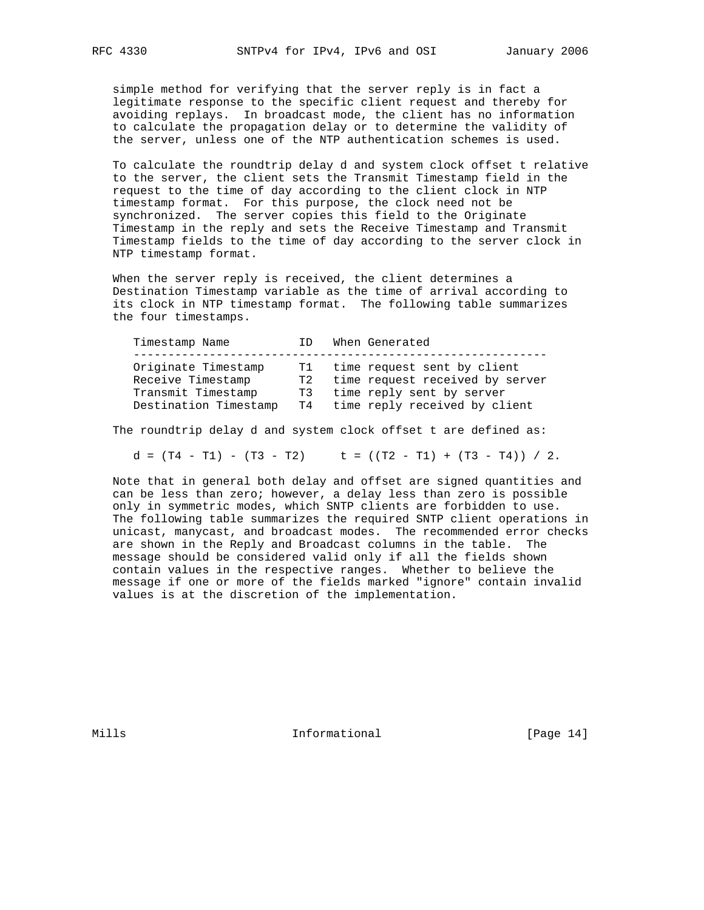simple method for verifying that the server reply is in fact a legitimate response to the specific client request and thereby for avoiding replays. In broadcast mode, the client has no information to calculate the propagation delay or to determine the validity of the server, unless one of the NTP authentication schemes is used.

 To calculate the roundtrip delay d and system clock offset t relative to the server, the client sets the Transmit Timestamp field in the request to the time of day according to the client clock in NTP timestamp format. For this purpose, the clock need not be synchronized. The server copies this field to the Originate Timestamp in the reply and sets the Receive Timestamp and Transmit Timestamp fields to the time of day according to the server clock in NTP timestamp format.

 When the server reply is received, the client determines a Destination Timestamp variable as the time of arrival according to its clock in NTP timestamp format. The following table summarizes the four timestamps.

| Timestamp Name                                                                          | ΤD               | When Generated                                                                                                                  |  |
|-----------------------------------------------------------------------------------------|------------------|---------------------------------------------------------------------------------------------------------------------------------|--|
| Originate Timestamp<br>Receive Timestamp<br>Transmit Timestamp<br>Destination Timestamp | T2<br>T3<br>T4 O | T1 time request sent by client<br>time request received by server<br>time reply sent by server<br>time reply received by client |  |

The roundtrip delay d and system clock offset t are defined as:

 $d = (T4 - T1) - (T3 - T2)$   $t = ((T2 - T1) + (T3 - T4)) / 2$ .

 Note that in general both delay and offset are signed quantities and can be less than zero; however, a delay less than zero is possible only in symmetric modes, which SNTP clients are forbidden to use. The following table summarizes the required SNTP client operations in unicast, manycast, and broadcast modes. The recommended error checks are shown in the Reply and Broadcast columns in the table. The message should be considered valid only if all the fields shown contain values in the respective ranges. Whether to believe the message if one or more of the fields marked "ignore" contain invalid values is at the discretion of the implementation.

Mills **Informational Informational** [Page 14]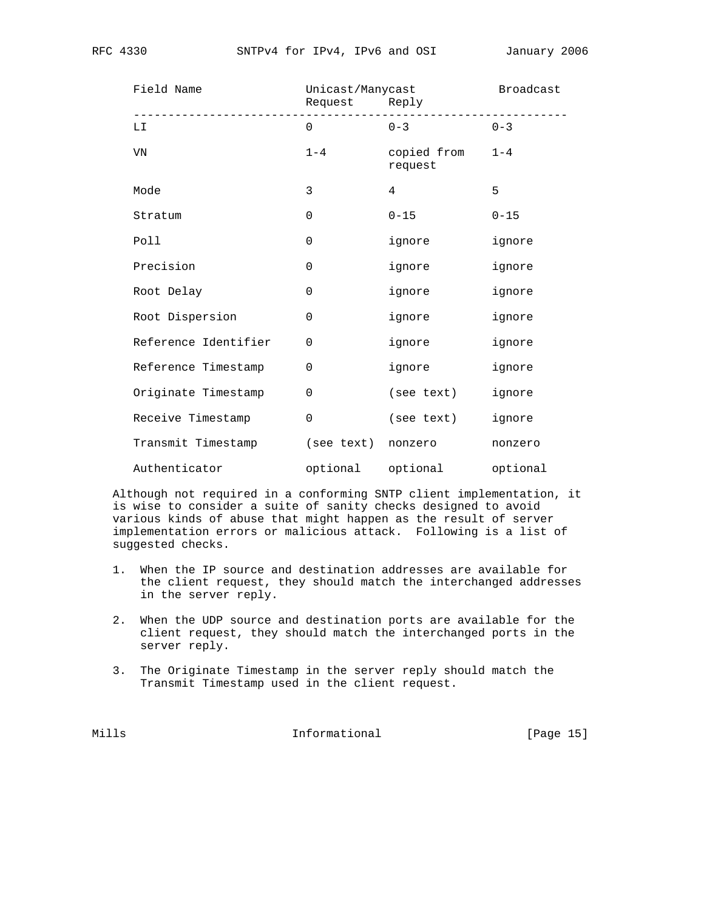| Field Name           | Unicast/Manycast<br>Request Reply |                        | Broadcast |
|----------------------|-----------------------------------|------------------------|-----------|
| LI                   | $\Omega$                          | $0 - 3$                | $0 - 3$   |
| VN                   | $1 - 4$                           | copied from<br>request | $1 - 4$   |
| Mode                 | 3                                 | $\overline{4}$         | 5         |
| Stratum              | $\mathbf 0$                       | $0 - 15$               | $0 - 15$  |
| Poll                 | $\mathbf 0$                       | ignore                 | ignore    |
| Precision            | $\mathbf 0$                       | ignore                 | ignore    |
| Root Delay           | $\mathbf 0$                       | ignore                 | ignore    |
| Root Dispersion      | $\mathbf 0$                       | ignore                 | ignore    |
| Reference Identifier | $\mathbf 0$                       | ignore                 | ignore    |
| Reference Timestamp  | $\mathbf 0$                       | ignore                 | ignore    |
| Originate Timestamp  | $\mathbf 0$                       | (see text)             | ignore    |
| Receive Timestamp    | $\Omega$                          | (see text)             | ignore    |
| Transmit Timestamp   | (see text)                        | nonzero                | nonzero   |
| Authenticator        | optional                          | optional               | optional  |

 Although not required in a conforming SNTP client implementation, it is wise to consider a suite of sanity checks designed to avoid various kinds of abuse that might happen as the result of server implementation errors or malicious attack. Following is a list of suggested checks.

- 1. When the IP source and destination addresses are available for the client request, they should match the interchanged addresses in the server reply.
- 2. When the UDP source and destination ports are available for the client request, they should match the interchanged ports in the server reply.
- 3. The Originate Timestamp in the server reply should match the Transmit Timestamp used in the client request.

Mills 1nformational [Page 15]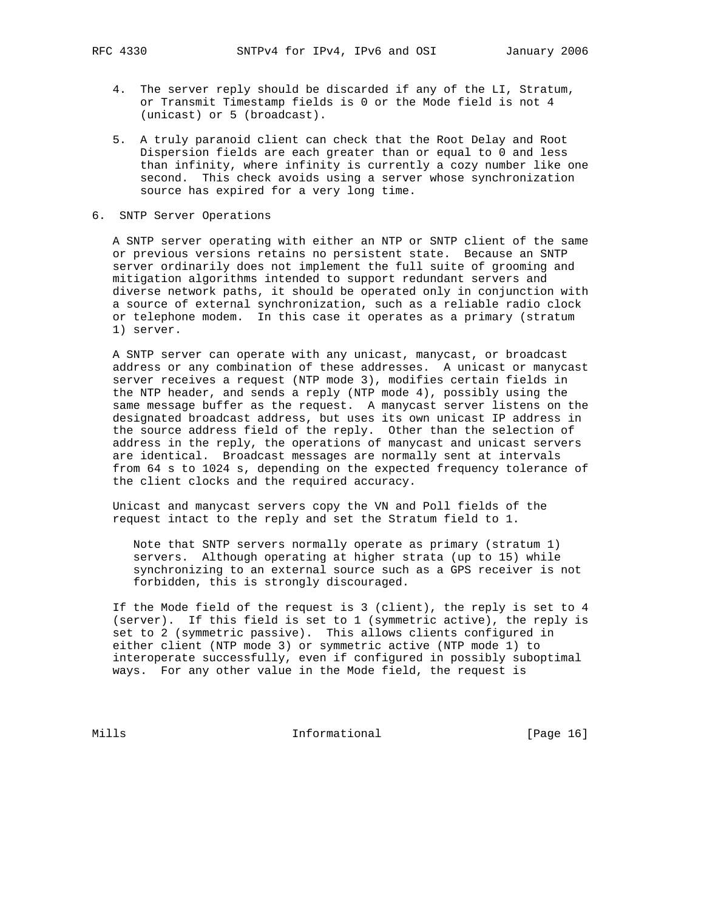- 4. The server reply should be discarded if any of the LI, Stratum, or Transmit Timestamp fields is 0 or the Mode field is not 4 (unicast) or 5 (broadcast).
- 5. A truly paranoid client can check that the Root Delay and Root Dispersion fields are each greater than or equal to 0 and less than infinity, where infinity is currently a cozy number like one second. This check avoids using a server whose synchronization source has expired for a very long time.
- 6. SNTP Server Operations

 A SNTP server operating with either an NTP or SNTP client of the same or previous versions retains no persistent state. Because an SNTP server ordinarily does not implement the full suite of grooming and mitigation algorithms intended to support redundant servers and diverse network paths, it should be operated only in conjunction with a source of external synchronization, such as a reliable radio clock or telephone modem. In this case it operates as a primary (stratum 1) server.

 A SNTP server can operate with any unicast, manycast, or broadcast address or any combination of these addresses. A unicast or manycast server receives a request (NTP mode 3), modifies certain fields in the NTP header, and sends a reply (NTP mode 4), possibly using the same message buffer as the request. A manycast server listens on the designated broadcast address, but uses its own unicast IP address in the source address field of the reply. Other than the selection of address in the reply, the operations of manycast and unicast servers are identical. Broadcast messages are normally sent at intervals from 64 s to 1024 s, depending on the expected frequency tolerance of the client clocks and the required accuracy.

 Unicast and manycast servers copy the VN and Poll fields of the request intact to the reply and set the Stratum field to 1.

 Note that SNTP servers normally operate as primary (stratum 1) servers. Although operating at higher strata (up to 15) while synchronizing to an external source such as a GPS receiver is not forbidden, this is strongly discouraged.

 If the Mode field of the request is 3 (client), the reply is set to 4 (server). If this field is set to 1 (symmetric active), the reply is set to 2 (symmetric passive). This allows clients configured in either client (NTP mode 3) or symmetric active (NTP mode 1) to interoperate successfully, even if configured in possibly suboptimal ways. For any other value in the Mode field, the request is

Mills 1nformational [Page 16]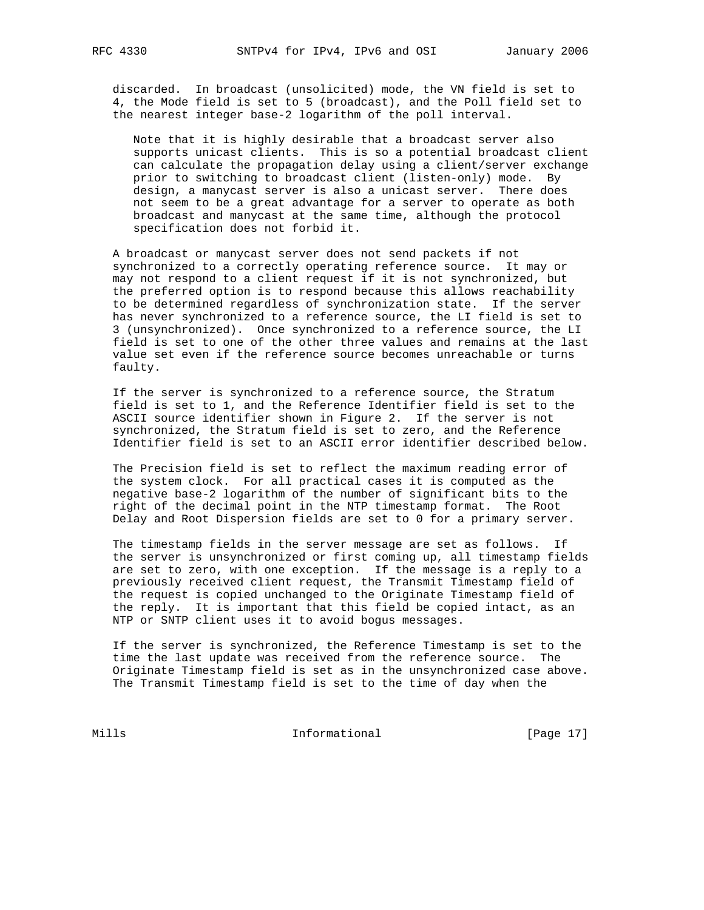discarded. In broadcast (unsolicited) mode, the VN field is set to 4, the Mode field is set to 5 (broadcast), and the Poll field set to the nearest integer base-2 logarithm of the poll interval.

 Note that it is highly desirable that a broadcast server also supports unicast clients. This is so a potential broadcast client can calculate the propagation delay using a client/server exchange prior to switching to broadcast client (listen-only) mode. By design, a manycast server is also a unicast server. There does not seem to be a great advantage for a server to operate as both broadcast and manycast at the same time, although the protocol specification does not forbid it.

 A broadcast or manycast server does not send packets if not synchronized to a correctly operating reference source. It may or may not respond to a client request if it is not synchronized, but the preferred option is to respond because this allows reachability to be determined regardless of synchronization state. If the server has never synchronized to a reference source, the LI field is set to 3 (unsynchronized). Once synchronized to a reference source, the LI field is set to one of the other three values and remains at the last value set even if the reference source becomes unreachable or turns faulty.

 If the server is synchronized to a reference source, the Stratum field is set to 1, and the Reference Identifier field is set to the ASCII source identifier shown in Figure 2. If the server is not synchronized, the Stratum field is set to zero, and the Reference Identifier field is set to an ASCII error identifier described below.

 The Precision field is set to reflect the maximum reading error of the system clock. For all practical cases it is computed as the negative base-2 logarithm of the number of significant bits to the right of the decimal point in the NTP timestamp format. The Root Delay and Root Dispersion fields are set to 0 for a primary server.

 The timestamp fields in the server message are set as follows. If the server is unsynchronized or first coming up, all timestamp fields are set to zero, with one exception. If the message is a reply to a previously received client request, the Transmit Timestamp field of the request is copied unchanged to the Originate Timestamp field of the reply. It is important that this field be copied intact, as an NTP or SNTP client uses it to avoid bogus messages.

 If the server is synchronized, the Reference Timestamp is set to the time the last update was received from the reference source. The Originate Timestamp field is set as in the unsynchronized case above. The Transmit Timestamp field is set to the time of day when the

Mills **Informational** [Page 17]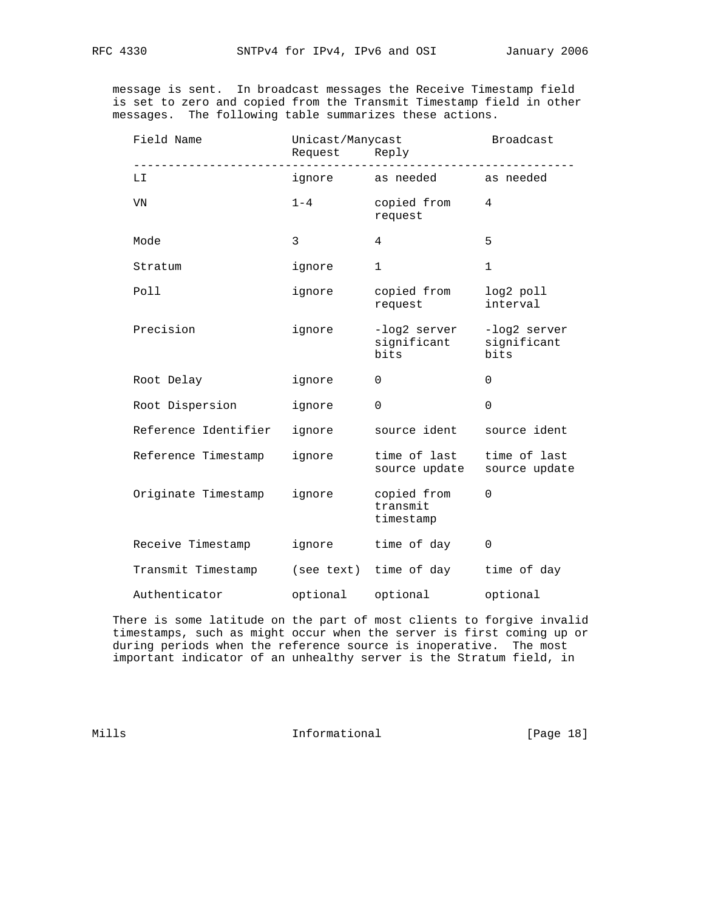message is sent. In broadcast messages the Receive Timestamp field is set to zero and copied from the Transmit Timestamp field in other messages. The following table summarizes these actions.

| Field Name           | Unicast/Manycast<br>Request | Reply                                | Broadcast                           |
|----------------------|-----------------------------|--------------------------------------|-------------------------------------|
| LI                   | ignore                      | as needed                            | as needed                           |
| VN                   | $1 - 4$                     | copied from<br>request               | 4                                   |
| Mode                 | 3                           | 4                                    | 5                                   |
| Stratum              | ignore                      | $\mathbf{1}$                         | $\mathbf{1}$                        |
| Poll                 | ignore                      | copied from<br>request               | log2 poll<br>interval               |
| Precision            | ignore                      | -log2 server<br>significant<br>bits  | -log2 server<br>significant<br>bits |
| Root Delay           | ignore                      | 0                                    | $\Omega$                            |
| Root Dispersion      | ignore                      | $\mathbf 0$                          | $\Omega$                            |
| Reference Identifier | ignore                      | source ident                         | source ident                        |
| Reference Timestamp  | ignore                      | time of last<br>source update        | time of last<br>source update       |
| Originate Timestamp  | ignore                      | copied from<br>transmit<br>timestamp | $\mathbf 0$                         |
| Receive Timestamp    | ignore                      | time of day                          | 0                                   |
| Transmit Timestamp   |                             | (see text) time of day               | time of day                         |
| Authenticator        | optional                    | optional                             | optional                            |

 There is some latitude on the part of most clients to forgive invalid timestamps, such as might occur when the server is first coming up or during periods when the reference source is inoperative. The most important indicator of an unhealthy server is the Stratum field, in

Mills 1nformational [Page 18]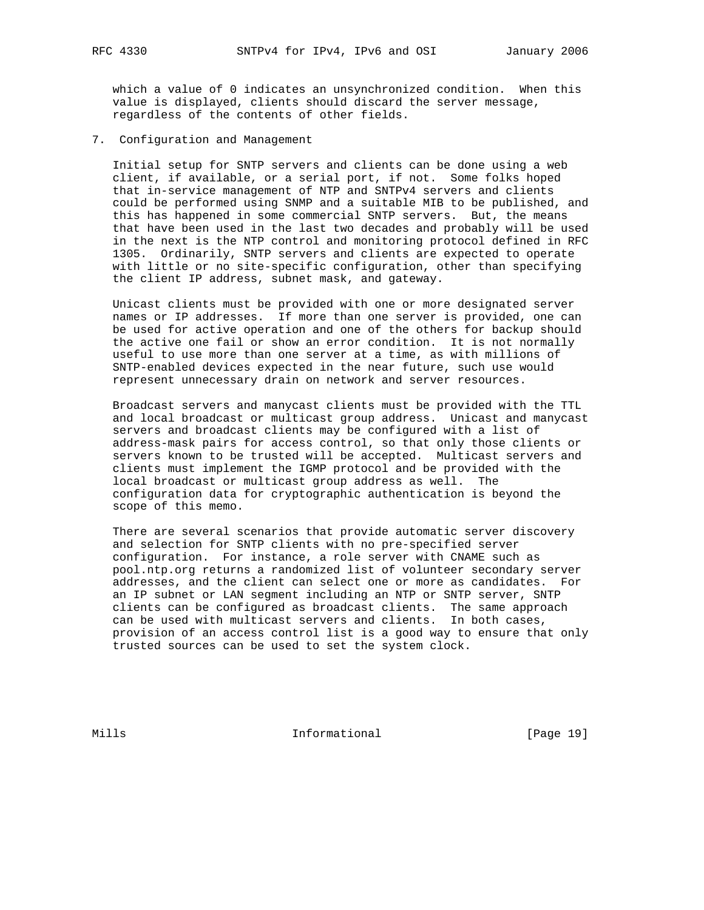which a value of 0 indicates an unsynchronized condition. When this value is displayed, clients should discard the server message, regardless of the contents of other fields.

7. Configuration and Management

 Initial setup for SNTP servers and clients can be done using a web client, if available, or a serial port, if not. Some folks hoped that in-service management of NTP and SNTPv4 servers and clients could be performed using SNMP and a suitable MIB to be published, and this has happened in some commercial SNTP servers. But, the means that have been used in the last two decades and probably will be used in the next is the NTP control and monitoring protocol defined in RFC 1305. Ordinarily, SNTP servers and clients are expected to operate with little or no site-specific configuration, other than specifying the client IP address, subnet mask, and gateway.

 Unicast clients must be provided with one or more designated server names or IP addresses. If more than one server is provided, one can be used for active operation and one of the others for backup should the active one fail or show an error condition. It is not normally useful to use more than one server at a time, as with millions of SNTP-enabled devices expected in the near future, such use would represent unnecessary drain on network and server resources.

 Broadcast servers and manycast clients must be provided with the TTL and local broadcast or multicast group address. Unicast and manycast servers and broadcast clients may be configured with a list of address-mask pairs for access control, so that only those clients or servers known to be trusted will be accepted. Multicast servers and clients must implement the IGMP protocol and be provided with the local broadcast or multicast group address as well. The configuration data for cryptographic authentication is beyond the scope of this memo.

 There are several scenarios that provide automatic server discovery and selection for SNTP clients with no pre-specified server configuration. For instance, a role server with CNAME such as pool.ntp.org returns a randomized list of volunteer secondary server addresses, and the client can select one or more as candidates. For an IP subnet or LAN segment including an NTP or SNTP server, SNTP clients can be configured as broadcast clients. The same approach can be used with multicast servers and clients. In both cases, provision of an access control list is a good way to ensure that only trusted sources can be used to set the system clock.

Mills 1nformational [Page 19]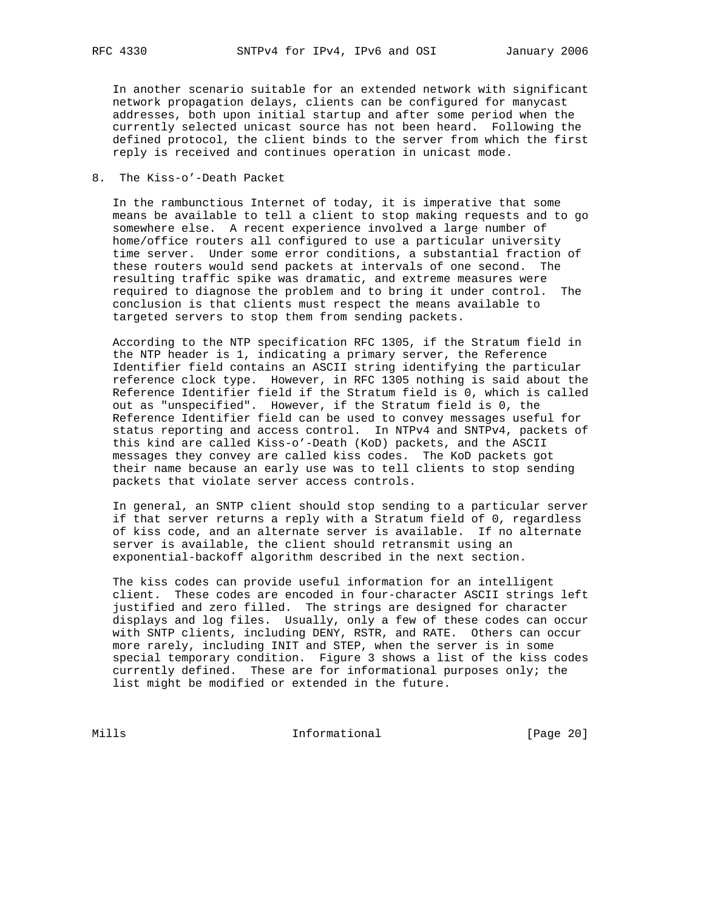In another scenario suitable for an extended network with significant network propagation delays, clients can be configured for manycast addresses, both upon initial startup and after some period when the currently selected unicast source has not been heard. Following the defined protocol, the client binds to the server from which the first reply is received and continues operation in unicast mode.

8. The Kiss-o'-Death Packet

 In the rambunctious Internet of today, it is imperative that some means be available to tell a client to stop making requests and to go somewhere else. A recent experience involved a large number of home/office routers all configured to use a particular university time server. Under some error conditions, a substantial fraction of these routers would send packets at intervals of one second. The resulting traffic spike was dramatic, and extreme measures were required to diagnose the problem and to bring it under control. The conclusion is that clients must respect the means available to targeted servers to stop them from sending packets.

 According to the NTP specification RFC 1305, if the Stratum field in the NTP header is 1, indicating a primary server, the Reference Identifier field contains an ASCII string identifying the particular reference clock type. However, in RFC 1305 nothing is said about the Reference Identifier field if the Stratum field is 0, which is called out as "unspecified". However, if the Stratum field is 0, the Reference Identifier field can be used to convey messages useful for status reporting and access control. In NTPv4 and SNTPv4, packets of this kind are called Kiss-o'-Death (KoD) packets, and the ASCII messages they convey are called kiss codes. The KoD packets got their name because an early use was to tell clients to stop sending packets that violate server access controls.

 In general, an SNTP client should stop sending to a particular server if that server returns a reply with a Stratum field of 0, regardless of kiss code, and an alternate server is available. If no alternate server is available, the client should retransmit using an exponential-backoff algorithm described in the next section.

 The kiss codes can provide useful information for an intelligent client. These codes are encoded in four-character ASCII strings left justified and zero filled. The strings are designed for character displays and log files. Usually, only a few of these codes can occur with SNTP clients, including DENY, RSTR, and RATE. Others can occur more rarely, including INIT and STEP, when the server is in some special temporary condition. Figure 3 shows a list of the kiss codes currently defined. These are for informational purposes only; the list might be modified or extended in the future.

Mills 1nformational [Page 20]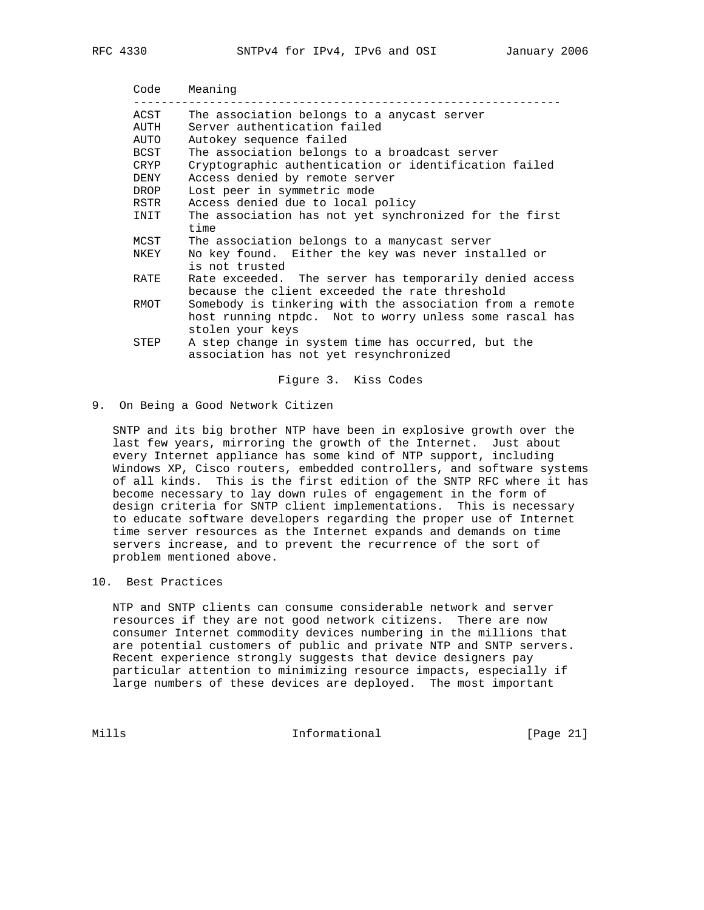| Code | Meaning                                                                                                                                 |
|------|-----------------------------------------------------------------------------------------------------------------------------------------|
| ACST | The association belongs to a any cast server                                                                                            |
| AUTH | Server authentication failed                                                                                                            |
| AUTO | Autokey sequence failed                                                                                                                 |
| BCST | The association belongs to a broadcast server                                                                                           |
| CRYP | Cryptographic authentication or identification failed                                                                                   |
| DENY | Access denied by remote server                                                                                                          |
| DROP | Lost peer in symmetric mode                                                                                                             |
| RSTR | Access denied due to local policy                                                                                                       |
| INIT | The association has not yet synchronized for the first<br>time                                                                          |
| MCST | The association belongs to a manycast server                                                                                            |
| NKEY | No key found. Either the key was never installed or<br>is not trusted                                                                   |
| RATE | Rate exceeded. The server has temporarily denied access<br>because the client exceeded the rate threshold                               |
| RMOT | Somebody is tinkering with the association from a remote<br>host running ntpdc. Not to worry unless some rascal has<br>stolen your keys |
| STEP | A step change in system time has occurred, but the<br>association has not yet resynchronized                                            |

Figure 3. Kiss Codes

9. On Being a Good Network Citizen

 SNTP and its big brother NTP have been in explosive growth over the last few years, mirroring the growth of the Internet. Just about every Internet appliance has some kind of NTP support, including Windows XP, Cisco routers, embedded controllers, and software systems of all kinds. This is the first edition of the SNTP RFC where it has become necessary to lay down rules of engagement in the form of design criteria for SNTP client implementations. This is necessary to educate software developers regarding the proper use of Internet time server resources as the Internet expands and demands on time servers increase, and to prevent the recurrence of the sort of problem mentioned above.

10. Best Practices

 NTP and SNTP clients can consume considerable network and server resources if they are not good network citizens. There are now consumer Internet commodity devices numbering in the millions that are potential customers of public and private NTP and SNTP servers. Recent experience strongly suggests that device designers pay particular attention to minimizing resource impacts, especially if large numbers of these devices are deployed. The most important

Mills 1nformational [Page 21]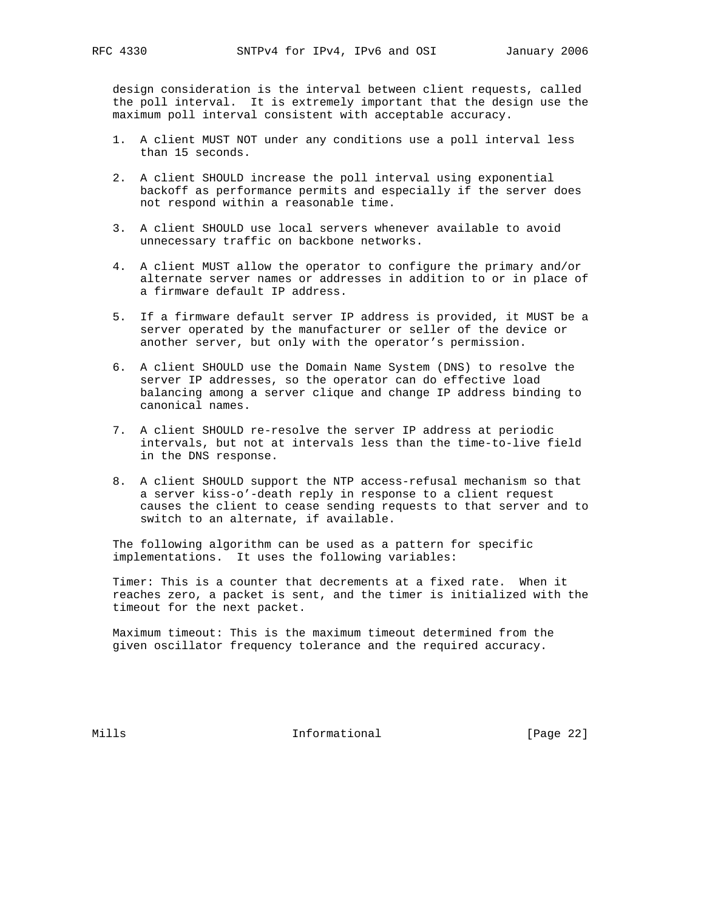design consideration is the interval between client requests, called the poll interval. It is extremely important that the design use the maximum poll interval consistent with acceptable accuracy.

- 1. A client MUST NOT under any conditions use a poll interval less than 15 seconds.
- 2. A client SHOULD increase the poll interval using exponential backoff as performance permits and especially if the server does not respond within a reasonable time.
- 3. A client SHOULD use local servers whenever available to avoid unnecessary traffic on backbone networks.
- 4. A client MUST allow the operator to configure the primary and/or alternate server names or addresses in addition to or in place of a firmware default IP address.
- 5. If a firmware default server IP address is provided, it MUST be a server operated by the manufacturer or seller of the device or another server, but only with the operator's permission.
- 6. A client SHOULD use the Domain Name System (DNS) to resolve the server IP addresses, so the operator can do effective load balancing among a server clique and change IP address binding to canonical names.
- 7. A client SHOULD re-resolve the server IP address at periodic intervals, but not at intervals less than the time-to-live field in the DNS response.
- 8. A client SHOULD support the NTP access-refusal mechanism so that a server kiss-o'-death reply in response to a client request causes the client to cease sending requests to that server and to switch to an alternate, if available.

 The following algorithm can be used as a pattern for specific implementations. It uses the following variables:

 Timer: This is a counter that decrements at a fixed rate. When it reaches zero, a packet is sent, and the timer is initialized with the timeout for the next packet.

 Maximum timeout: This is the maximum timeout determined from the given oscillator frequency tolerance and the required accuracy.

Mills **Informational Informational** [Page 22]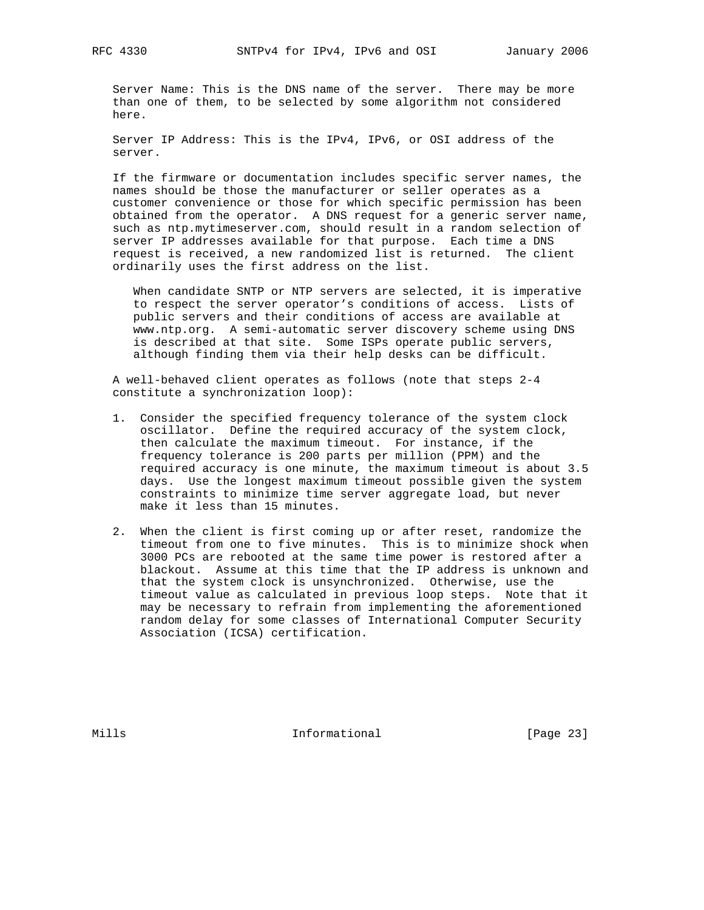Server Name: This is the DNS name of the server. There may be more than one of them, to be selected by some algorithm not considered here.

 Server IP Address: This is the IPv4, IPv6, or OSI address of the server.

 If the firmware or documentation includes specific server names, the names should be those the manufacturer or seller operates as a customer convenience or those for which specific permission has been obtained from the operator. A DNS request for a generic server name, such as ntp.mytimeserver.com, should result in a random selection of server IP addresses available for that purpose. Each time a DNS request is received, a new randomized list is returned. The client ordinarily uses the first address on the list.

 When candidate SNTP or NTP servers are selected, it is imperative to respect the server operator's conditions of access. Lists of public servers and their conditions of access are available at www.ntp.org. A semi-automatic server discovery scheme using DNS is described at that site. Some ISPs operate public servers, although finding them via their help desks can be difficult.

 A well-behaved client operates as follows (note that steps 2-4 constitute a synchronization loop):

- 1. Consider the specified frequency tolerance of the system clock oscillator. Define the required accuracy of the system clock, then calculate the maximum timeout. For instance, if the frequency tolerance is 200 parts per million (PPM) and the required accuracy is one minute, the maximum timeout is about 3.5 days. Use the longest maximum timeout possible given the system constraints to minimize time server aggregate load, but never make it less than 15 minutes.
- 2. When the client is first coming up or after reset, randomize the timeout from one to five minutes. This is to minimize shock when 3000 PCs are rebooted at the same time power is restored after a blackout. Assume at this time that the IP address is unknown and that the system clock is unsynchronized. Otherwise, use the timeout value as calculated in previous loop steps. Note that it may be necessary to refrain from implementing the aforementioned random delay for some classes of International Computer Security Association (ICSA) certification.

Mills **Informational Informational** [Page 23]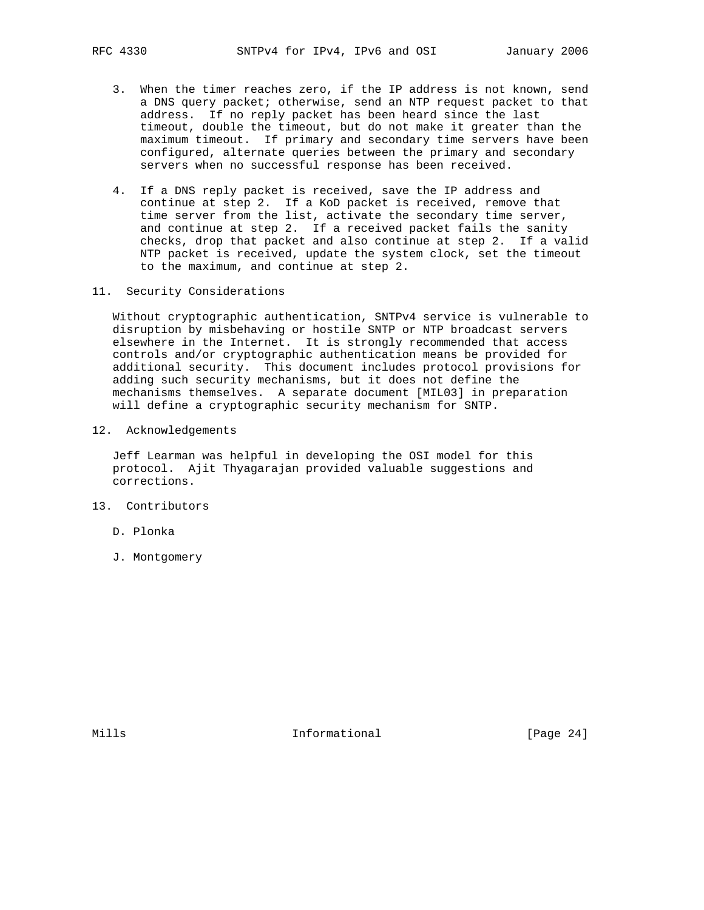- 3. When the timer reaches zero, if the IP address is not known, send a DNS query packet; otherwise, send an NTP request packet to that address. If no reply packet has been heard since the last timeout, double the timeout, but do not make it greater than the maximum timeout. If primary and secondary time servers have been configured, alternate queries between the primary and secondary servers when no successful response has been received.
- 4. If a DNS reply packet is received, save the IP address and continue at step 2. If a KoD packet is received, remove that time server from the list, activate the secondary time server, and continue at step 2. If a received packet fails the sanity checks, drop that packet and also continue at step 2. If a valid NTP packet is received, update the system clock, set the timeout to the maximum, and continue at step 2.
- 11. Security Considerations

 Without cryptographic authentication, SNTPv4 service is vulnerable to disruption by misbehaving or hostile SNTP or NTP broadcast servers elsewhere in the Internet. It is strongly recommended that access controls and/or cryptographic authentication means be provided for additional security. This document includes protocol provisions for adding such security mechanisms, but it does not define the mechanisms themselves. A separate document [MIL03] in preparation will define a cryptographic security mechanism for SNTP.

12. Acknowledgements

 Jeff Learman was helpful in developing the OSI model for this protocol. Ajit Thyagarajan provided valuable suggestions and corrections.

- 13. Contributors
	- D. Plonka
	- J. Montgomery

Mills **Informational Informational** [Page 24]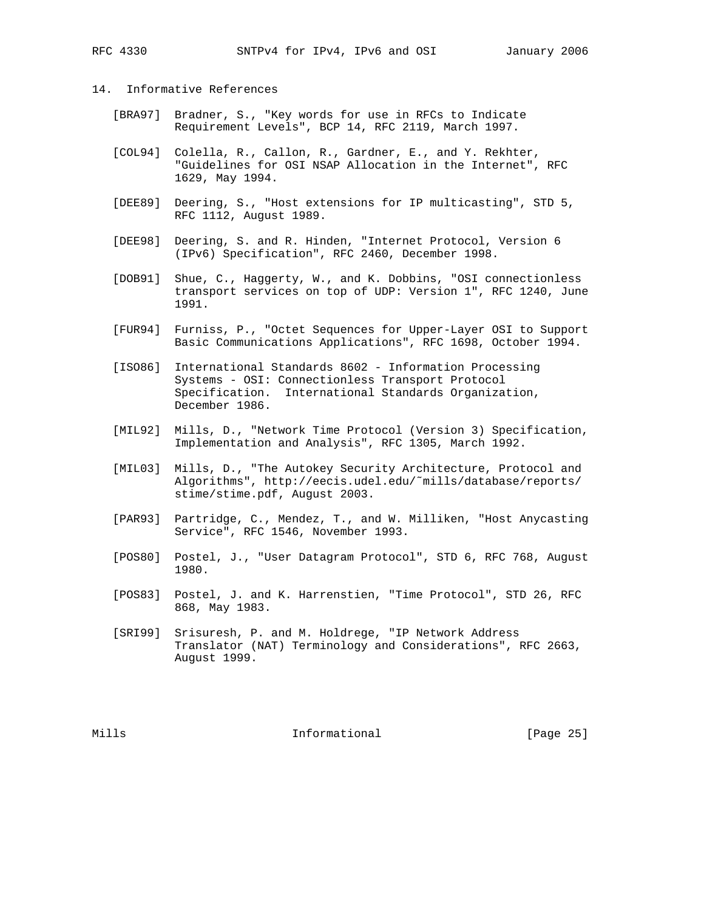## 14. Informative References

- [BRA97] Bradner, S., "Key words for use in RFCs to Indicate Requirement Levels", BCP 14, RFC 2119, March 1997.
- [COL94] Colella, R., Callon, R., Gardner, E., and Y. Rekhter, "Guidelines for OSI NSAP Allocation in the Internet", RFC 1629, May 1994.
- [DEE89] Deering, S., "Host extensions for IP multicasting", STD 5, RFC 1112, August 1989.
- [DEE98] Deering, S. and R. Hinden, "Internet Protocol, Version 6 (IPv6) Specification", RFC 2460, December 1998.
- [DOB91] Shue, C., Haggerty, W., and K. Dobbins, "OSI connectionless transport services on top of UDP: Version 1", RFC 1240, June 1991.
- [FUR94] Furniss, P., "Octet Sequences for Upper-Layer OSI to Support Basic Communications Applications", RFC 1698, October 1994.
- [ISO86] International Standards 8602 Information Processing Systems - OSI: Connectionless Transport Protocol Specification. International Standards Organization, December 1986.
- [MIL92] Mills, D., "Network Time Protocol (Version 3) Specification, Implementation and Analysis", RFC 1305, March 1992.
- [MIL03] Mills, D., "The Autokey Security Architecture, Protocol and Algorithms", http://eecis.udel.edu/˜mills/database/reports/ stime/stime.pdf, August 2003.
- [PAR93] Partridge, C., Mendez, T., and W. Milliken, "Host Anycasting Service", RFC 1546, November 1993.
- [POS80] Postel, J., "User Datagram Protocol", STD 6, RFC 768, August 1980.
- [POS83] Postel, J. and K. Harrenstien, "Time Protocol", STD 26, RFC 868, May 1983.
- [SRI99] Srisuresh, P. and M. Holdrege, "IP Network Address Translator (NAT) Terminology and Considerations", RFC 2663, August 1999.

Mills **Informational Informational** [Page 25]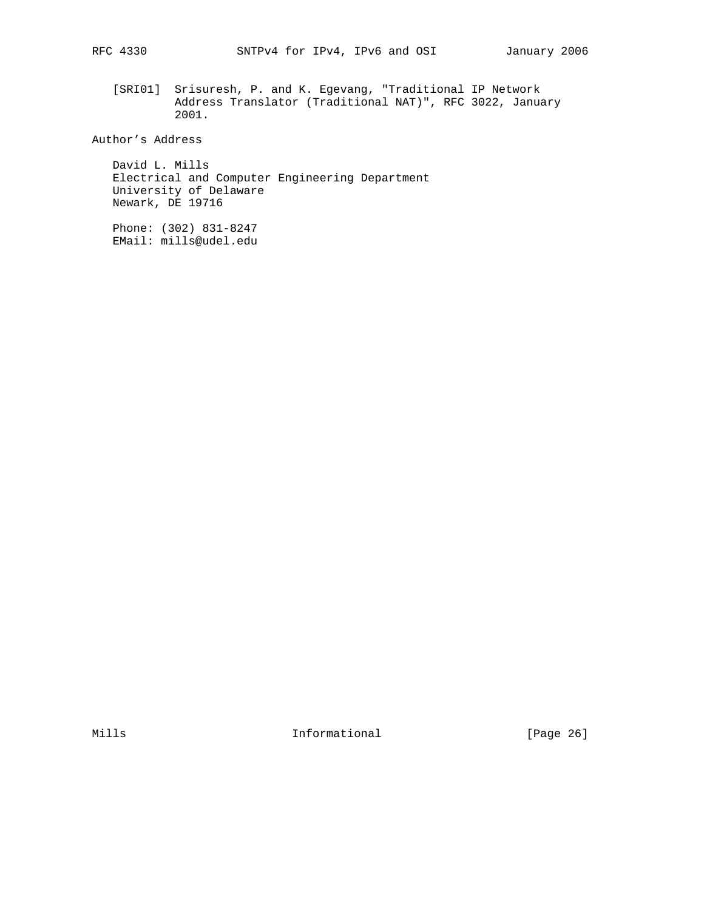[SRI01] Srisuresh, P. and K. Egevang, "Traditional IP Network Address Translator (Traditional NAT)", RFC 3022, January 2001.

Author's Address

 David L. Mills Electrical and Computer Engineering Department University of Delaware Newark, DE 19716

 Phone: (302) 831-8247 EMail: mills@udel.edu

Mills 1nformational [Page 26]